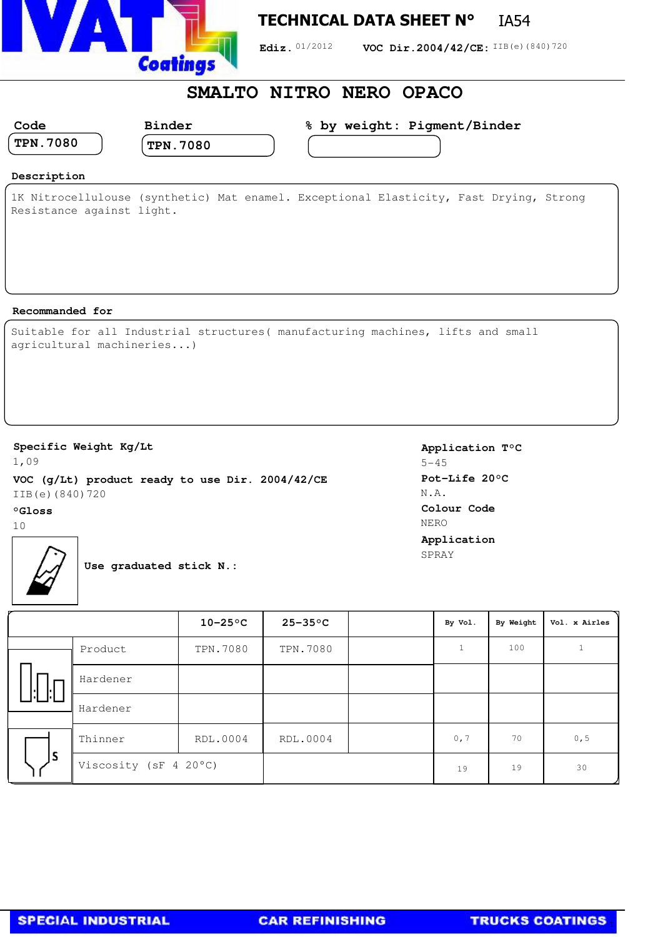

## **TECHNICAL DATA SHEET N°** IA54

Ediz. 01/2012 **VOC Dir.2004/42/CE:** IIB(e)(840)720

## **SMALTO NITRO NERO OPACO**

| Code            | <b>Binder</b>   | % by weight: Pigment/Binder |  |
|-----------------|-----------------|-----------------------------|--|
| <b>TPN.7080</b> | <b>TPN.7080</b> |                             |  |
|                 |                 |                             |  |

#### **Description**

1K Nitrocellulouse (synthetic) Mat enamel. Exceptional Elasticity, Fast Drying, Strong Resistance against light.

#### **Recommanded for**

|  |                           | Suitable for all Industrial structures (manufacturing machines, lifts and small |  |  |
|--|---------------------------|---------------------------------------------------------------------------------|--|--|
|  | agricultural machineries) |                                                                                 |  |  |

### **Specific Weight Kg/Lt**

1,09 **VOC (g/Lt) product ready to use Dir. 2004/42/CE** IIB(e)(840)720

#### **°Gloss**

10



**Use graduated stick N.:**

**Application T°C** 5-45 **Pot-Life 20°C** N.A. **Colour Code** NERO **Application** SPRAY

|    |                       | $10-25$ °C | $25 - 35$ °C | By Vol. | By Weight | Vol. x Airles |
|----|-----------------------|------------|--------------|---------|-----------|---------------|
|    | Product               | TPN.7080   | TPN.7080     |         | 100       |               |
|    | Hardener              |            |              |         |           |               |
|    | Hardener              |            |              |         |           |               |
| ١s | Thinner               | RDL.0004   | RDL.0004     | 0, 7    | 70        | 0, 5          |
|    | Viscosity (sF 4 20°C) |            |              | 19      | 19        | 30            |